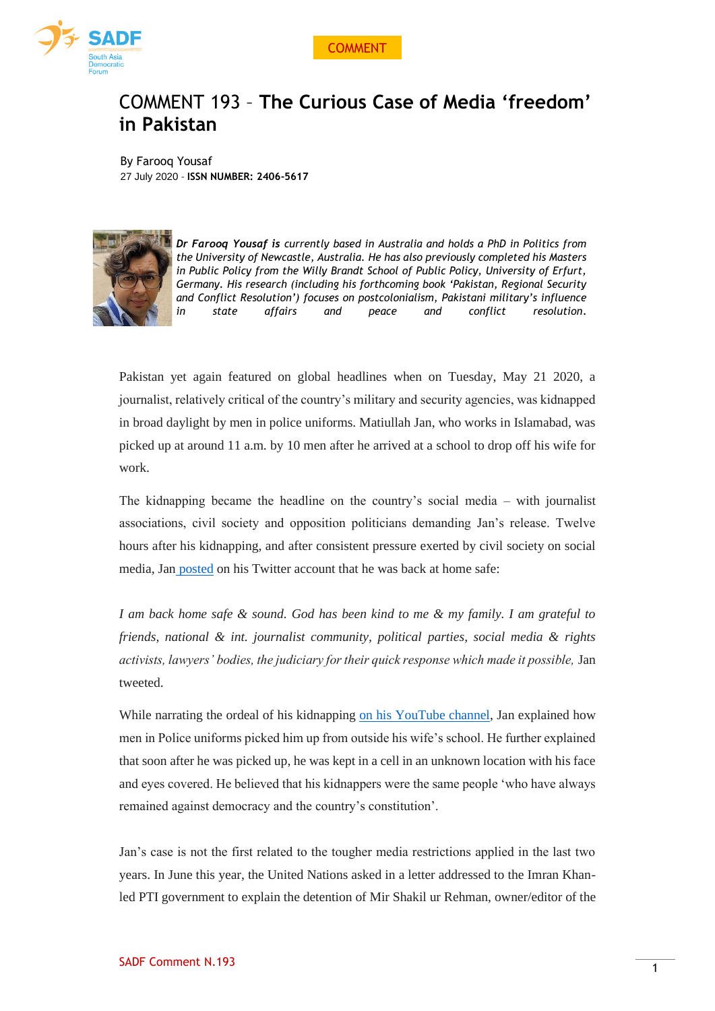



## COMMENT 193 – **The Curious Case of Media 'freedom' in Pakistan**

By Farooq Yousaf 27 July 2020 - **ISSN NUMBER: 2406-5617**



*Dr Farooq Yousaf is currently based in Australia and holds a PhD in Politics from the University of Newcastle, Australia. He has also previously completed his Masters in Public Policy from the Willy Brandt School of Public Policy, University of Erfurt, Germany. His research (including his forthcoming book 'Pakistan, Regional Security and Conflict Resolution') focuses on postcolonialism, Pakistani military's influence in state affairs and peace and conflict resolution.* 

Pakistan yet again featured on global headlines when on Tuesday, May 21 2020, a journalist, relatively critical of the country's military and security agencies, was kidnapped in broad daylight by men in police uniforms. Matiullah Jan, who works in Islamabad, was picked up at around 11 a.m. by 10 men after he arrived at a school to drop off his wife for work.

The kidnapping became the headline on the country's social media – with journalist associations, civil society and opposition politicians demanding Jan's release. Twelve hours after his kidnapping, and after consistent pressure exerted by civil society on social media, Jan [posted](https://protect-au.mimecast.com/s/Ulf0CXLWPESBlQAPC6UZh0?domain=twitter.com) on his Twitter account that he was back at home safe:

*I am back home safe & sound. God has been kind to me & my family. I am grateful to friends, national & int. journalist community, political parties, social media & rights activists, lawyers' bodies, the judiciary for their quick response which made it possible,* Jan tweeted.

While narrating the ordeal of his kidnapping on his [YouTube](https://protect-au.mimecast.com/s/kuGUCYW8ZGckK7YWhGqPLM?domain=youtube.com) channel, Jan explained how men in Police uniforms picked him up from outside his wife's school. He further explained that soon after he was picked up, he was kept in a cell in an unknown location with his face and eyes covered. He believed that his kidnappers were the same people 'who have always remained against democracy and the country's constitution'.

Jan's case is not the first related to the tougher media restrictions applied in the last two years. In June this year, the United Nations asked in a letter addressed to the Imran Khanled PTI government to explain the detention of Mir Shakil ur Rehman, owner/editor of the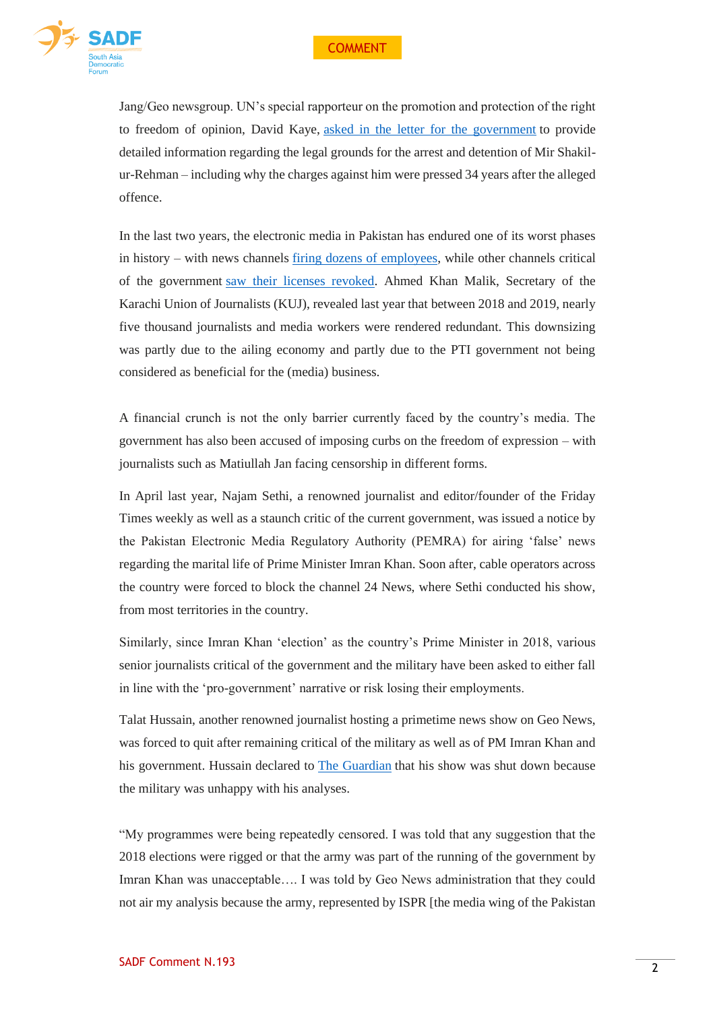

Jang/Geo newsgroup. UN's special rapporteur on the promotion and protection of the right to freedom of opinion, David Kaye, asked in the letter for the [government](https://protect-au.mimecast.com/s/KUTNCZY1gJTP16vqcKoYau?domain=dawn.com) to provide detailed information regarding the legal grounds for the arrest and detention of Mir Shakilur-Rehman – including why the charges against him were pressed 34 years after the alleged offence.

In the last two years, the electronic media in Pakistan has endured one of its worst phases in history – with news channels firing dozens of [employees,](https://www.trtworld.com/magazine/why-are-so-many-pakistani-journalists-losing-their-jobs-22094) while other channels critical of the government saw their licenses [revoked.](https://protect-au.mimecast.com/s/WWr5C2xMX5UKLYr2h9-M9A?domain=dawn.com) Ahmed Khan Malik, Secretary of the Karachi Union of Journalists (KUJ), revealed last year that between 2018 and 2019, nearly five thousand journalists and media workers were rendered redundant. This downsizing was partly due to the ailing economy and partly due to the PTI government not being considered as beneficial for the (media) business.

A financial crunch is not the only barrier currently faced by the country's media. The government has also been accused of imposing curbs on the freedom of expression – with journalists such as Matiullah Jan facing censorship in different forms.

In April last year, Najam Sethi, a renowned journalist and editor/founder of the Friday Times weekly as well as a staunch critic of the current government, was issued a notice by the Pakistan Electronic Media Regulatory Authority (PEMRA) for airing 'false' news regarding the marital life of Prime Minister Imran Khan. Soon after, cable operators across the country were forced to block the channel 24 News, where Sethi conducted his show, from most territories in the country.

Similarly, since Imran Khan 'election' as the country's Prime Minister in 2018, various senior journalists critical of the government and the military have been asked to either fall in line with the 'pro-government' narrative or risk losing their employments.

Talat Hussain, another renowned journalist hosting a primetime news show on Geo News, was forced to quit after remaining critical of the military as well as of PM Imran Khan and his government. Hussain declared to The [Guardian](https://protect-au.mimecast.com/s/8wWgC3QN35h7jk3guvmONM?domain=theguardian.com) that his show was shut down because the military was unhappy with his analyses.

"My programmes were being repeatedly censored. I was told that any suggestion that the 2018 elections were rigged or that the army was part of the running of the government by Imran Khan was unacceptable…. I was told by Geo News administration that they could not air my analysis because the army, represented by ISPR [the media wing of the Pakistan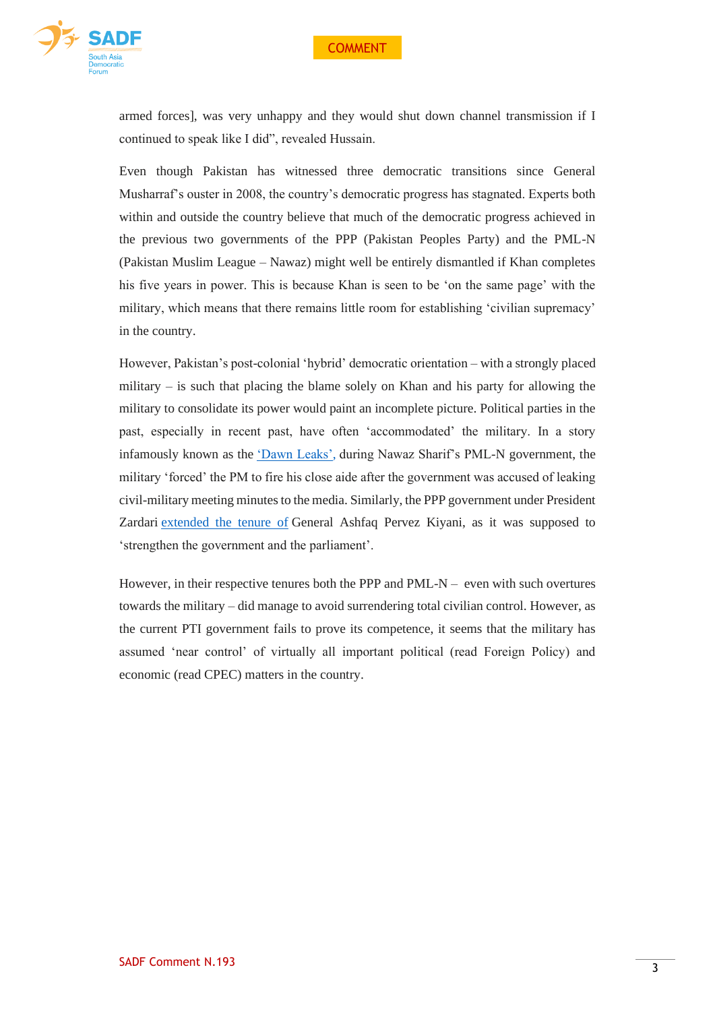

armed forces], was very unhappy and they would shut down channel transmission if I continued to speak like I did", revealed Hussain.

Even though Pakistan has witnessed three democratic transitions since General Musharraf's ouster in 2008, the country's democratic progress has stagnated. Experts both within and outside the country believe that much of the democratic progress achieved in the previous two governments of the PPP (Pakistan Peoples Party) and the PML-N (Pakistan Muslim League – Nawaz) might well be entirely dismantled if Khan completes his five years in power. This is because Khan is seen to be 'on the same page' with the military, which means that there remains little room for establishing 'civilian supremacy' in the country.

However, Pakistan's post-colonial 'hybrid' democratic orientation – with a strongly placed military – is such that placing the blame solely on Khan and his party for allowing the military to consolidate its power would paint an incomplete picture. Political parties in the past, especially in recent past, have often 'accommodated' the military. In a story infamously known as the 'Dawn [Leaks',](https://protect-au.mimecast.com/s/ptv8C4QO27hYZVP2hjz4Nh?domain=hindustantimes.com) during Nawaz Sharif's PML-N government, the military 'forced' the PM to fire his close aide after the government was accused of leaking civil-military meeting minutes to the media. Similarly, the PPP government under President Zardari [extended](https://protect-au.mimecast.com/s/t6odC5QPM5hgyJ8PclcNs2?domain=dawn.com) the tenure of General Ashfaq Pervez Kiyani, as it was supposed to 'strengthen the government and the parliament'.

However, in their respective tenures both the PPP and PML- $N -$  even with such overtures towards the military – did manage to avoid surrendering total civilian control. However, as the current PTI government fails to prove its competence, it seems that the military has assumed 'near control' of virtually all important political (read Foreign Policy) and economic (read CPEC) matters in the country.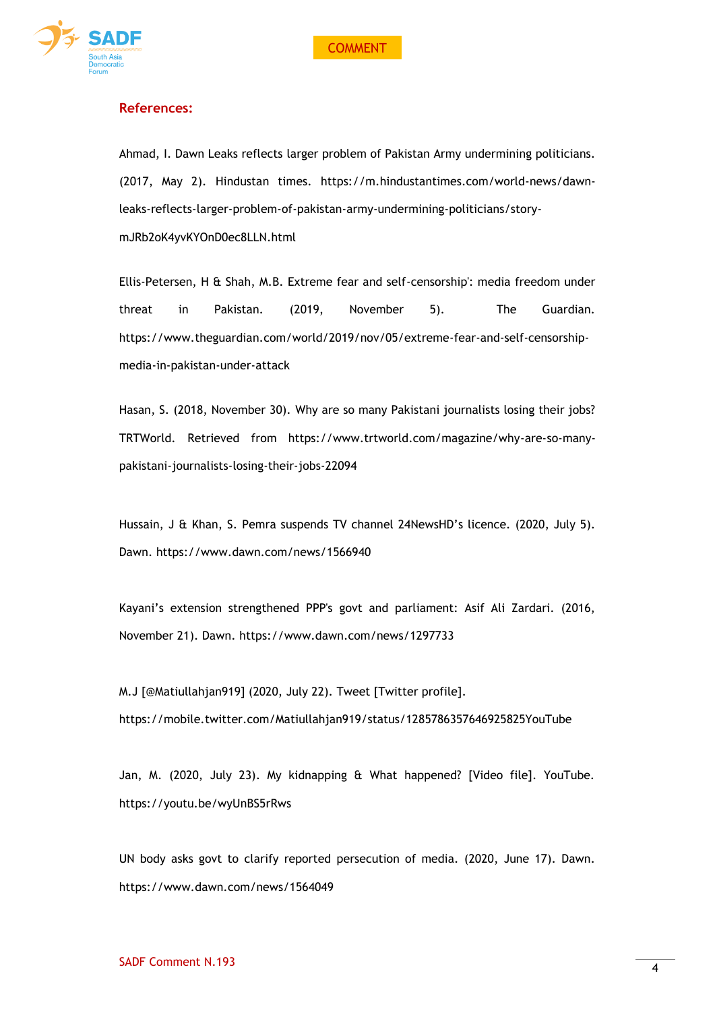



## **References:**

Ahmad, I. Dawn Leaks reflects larger problem of Pakistan Army undermining politicians. (2017, May 2). Hindustan times. [https://m.hindustantimes.com/world-news/dawn](https://m.hindustantimes.com/world-news/dawn-leaks-reflects-larger-problem-of-pakistan-army-undermining-politicians/story-mJRb2oK4yvKYOnD0ec8LLN.html)[leaks-reflects-larger-problem-of-pakistan-army-undermining-politicians/story](https://m.hindustantimes.com/world-news/dawn-leaks-reflects-larger-problem-of-pakistan-army-undermining-politicians/story-mJRb2oK4yvKYOnD0ec8LLN.html)[mJRb2oK4yvKYOnD0ec8LLN.html](https://m.hindustantimes.com/world-news/dawn-leaks-reflects-larger-problem-of-pakistan-army-undermining-politicians/story-mJRb2oK4yvKYOnD0ec8LLN.html)

Ellis-Petersen, H & Shah, M.B. Extreme fear and self-censorship': media freedom under threat in Pakistan. (2019, November 5). The Guardian. [https://www.theguardian.com/world/2019/nov/05/extreme-fear-and-self-censorship](https://www.theguardian.com/world/2019/nov/05/extreme-fear-and-self-censorship-media-in-pakistan-under-attack)[media-in-pakistan-under-attack](https://www.theguardian.com/world/2019/nov/05/extreme-fear-and-self-censorship-media-in-pakistan-under-attack)

Hasan, S. (2018, November 30). Why are so many Pakistani journalists losing their jobs? TRTWorld. Retrieved from https://www.trtworld.com/magazine/why-are-so-manypakistani-journalists-losing-their-jobs-22094

Hussain, J & Khan, S. Pemra suspends TV channel 24NewsHD's licence. (2020, July 5). Dawn.<https://www.dawn.com/news/1566940>

Kayani's extension strengthened PPP's govt and parliament: Asif Ali Zardari. (2016, November 21). Dawn. <https://www.dawn.com/news/1297733>

M.J [@Matiullahjan919] (2020, July 22). Tweet [Twitter profile]. <https://mobile.twitter.com/Matiullahjan919/status/1285786357646925825YouTube>

Jan, M. (2020, July 23). My kidnapping & What happened? [Video file]. YouTube. <https://youtu.be/wyUnBS5rRws>

UN body asks govt to clarify reported persecution of media. (2020, June 17). Dawn. https://www.dawn.com/news/1564049